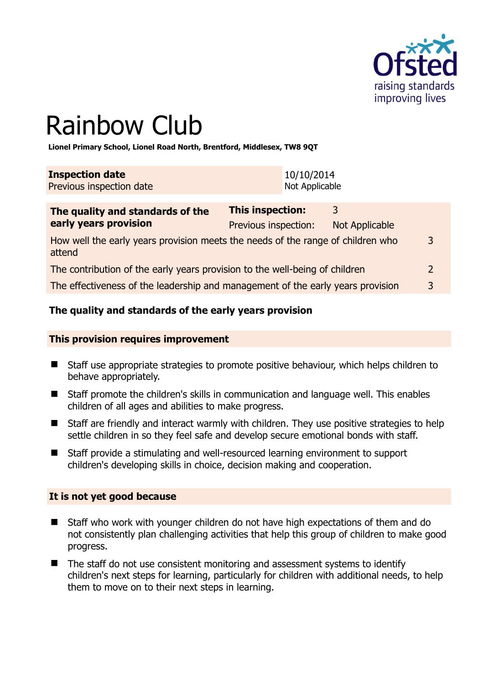

# Rainbow Club

**Lionel Primary School, Lionel Road North, Brentford, Middlesex, TW8 9QT** 

| <b>Inspection date</b>   | 10/10/2014     |
|--------------------------|----------------|
| Previous inspection date | Not Applicable |

| The quality and standards of the                                                          | <b>This inspection:</b> | 2              |              |
|-------------------------------------------------------------------------------------------|-------------------------|----------------|--------------|
| early years provision                                                                     | Previous inspection:    | Not Applicable |              |
| How well the early years provision meets the needs of the range of children who<br>attend |                         |                | 3            |
| The contribution of the early years provision to the well-being of children               |                         |                |              |
| The effectiveness of the leadership and management of the early years provision           |                         |                | $\mathbf{3}$ |

# **The quality and standards of the early years provision**

#### **This provision requires improvement**

- Staff use appropriate strategies to promote positive behaviour, which helps children to behave appropriately.
- Staff promote the children's skills in communication and language well. This enables children of all ages and abilities to make progress.
- Staff are friendly and interact warmly with children. They use positive strategies to help settle children in so they feel safe and develop secure emotional bonds with staff.
- Staff provide a stimulating and well-resourced learning environment to support children's developing skills in choice, decision making and cooperation.

#### **It is not yet good because**

- Staff who work with younger children do not have high expectations of them and do not consistently plan challenging activities that help this group of children to make good progress.
- The staff do not use consistent monitoring and assessment systems to identify children's next steps for learning, particularly for children with additional needs, to help them to move on to their next steps in learning.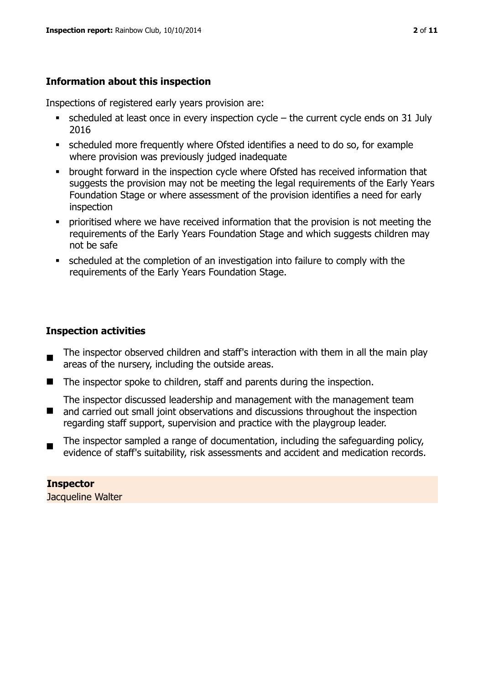# **Information about this inspection**

Inspections of registered early years provision are:

- scheduled at least once in every inspection cycle the current cycle ends on 31 July 2016
- scheduled more frequently where Ofsted identifies a need to do so, for example where provision was previously judged inadequate
- **•** brought forward in the inspection cycle where Ofsted has received information that suggests the provision may not be meeting the legal requirements of the Early Years Foundation Stage or where assessment of the provision identifies a need for early inspection
- **•** prioritised where we have received information that the provision is not meeting the requirements of the Early Years Foundation Stage and which suggests children may not be safe
- scheduled at the completion of an investigation into failure to comply with the requirements of the Early Years Foundation Stage.

# **Inspection activities**

- The inspector observed children and staff's interaction with them in all the main play areas of the nursery, including the outside areas.
- The inspector spoke to children, staff and parents during the inspection.
- $\blacksquare$ The inspector discussed leadership and management with the management team and carried out small joint observations and discussions throughout the inspection regarding staff support, supervision and practice with the playgroup leader.
- The inspector sampled a range of documentation, including the safeguarding policy, evidence of staff's suitability, risk assessments and accident and medication records.

**Inspector**  Jacqueline Walter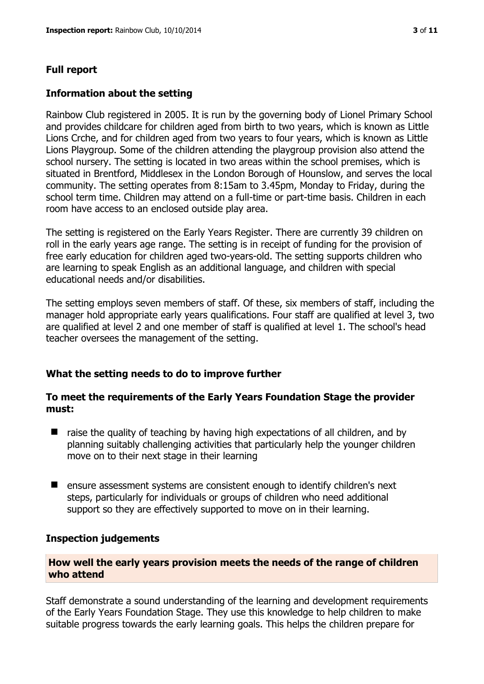# **Full report**

### **Information about the setting**

Rainbow Club registered in 2005. It is run by the governing body of Lionel Primary School and provides childcare for children aged from birth to two years, which is known as Little Lions Crche, and for children aged from two years to four years, which is known as Little Lions Playgroup. Some of the children attending the playgroup provision also attend the school nursery. The setting is located in two areas within the school premises, which is situated in Brentford, Middlesex in the London Borough of Hounslow, and serves the local community. The setting operates from 8:15am to 3.45pm, Monday to Friday, during the school term time. Children may attend on a full-time or part-time basis. Children in each room have access to an enclosed outside play area.

The setting is registered on the Early Years Register. There are currently 39 children on roll in the early years age range. The setting is in receipt of funding for the provision of free early education for children aged two-years-old. The setting supports children who are learning to speak English as an additional language, and children with special educational needs and/or disabilities.

The setting employs seven members of staff. Of these, six members of staff, including the manager hold appropriate early years qualifications. Four staff are qualified at level 3, two are qualified at level 2 and one member of staff is qualified at level 1. The school's head teacher oversees the management of the setting.

# **What the setting needs to do to improve further**

### **To meet the requirements of the Early Years Foundation Stage the provider must:**

- $\blacksquare$  raise the quality of teaching by having high expectations of all children, and by planning suitably challenging activities that particularly help the younger children move on to their next stage in their learning
- **E** ensure assessment systems are consistent enough to identify children's next steps, particularly for individuals or groups of children who need additional support so they are effectively supported to move on in their learning.

#### **Inspection judgements**

### **How well the early years provision meets the needs of the range of children who attend**

Staff demonstrate a sound understanding of the learning and development requirements of the Early Years Foundation Stage. They use this knowledge to help children to make suitable progress towards the early learning goals. This helps the children prepare for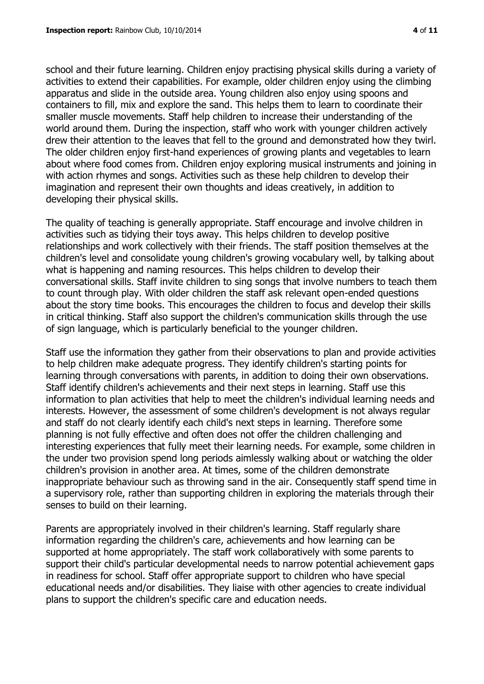school and their future learning. Children enjoy practising physical skills during a variety of activities to extend their capabilities. For example, older children enjoy using the climbing apparatus and slide in the outside area. Young children also enjoy using spoons and containers to fill, mix and explore the sand. This helps them to learn to coordinate their smaller muscle movements. Staff help children to increase their understanding of the world around them. During the inspection, staff who work with younger children actively drew their attention to the leaves that fell to the ground and demonstrated how they twirl. The older children enjoy first-hand experiences of growing plants and vegetables to learn about where food comes from. Children enjoy exploring musical instruments and joining in with action rhymes and songs. Activities such as these help children to develop their imagination and represent their own thoughts and ideas creatively, in addition to developing their physical skills.

The quality of teaching is generally appropriate. Staff encourage and involve children in activities such as tidying their toys away. This helps children to develop positive relationships and work collectively with their friends. The staff position themselves at the children's level and consolidate young children's growing vocabulary well, by talking about what is happening and naming resources. This helps children to develop their conversational skills. Staff invite children to sing songs that involve numbers to teach them to count through play. With older children the staff ask relevant open-ended questions about the story time books. This encourages the children to focus and develop their skills in critical thinking. Staff also support the children's communication skills through the use of sign language, which is particularly beneficial to the younger children.

Staff use the information they gather from their observations to plan and provide activities to help children make adequate progress. They identify children's starting points for learning through conversations with parents, in addition to doing their own observations. Staff identify children's achievements and their next steps in learning. Staff use this information to plan activities that help to meet the children's individual learning needs and interests. However, the assessment of some children's development is not always regular and staff do not clearly identify each child's next steps in learning. Therefore some planning is not fully effective and often does not offer the children challenging and interesting experiences that fully meet their learning needs. For example, some children in the under two provision spend long periods aimlessly walking about or watching the older children's provision in another area. At times, some of the children demonstrate inappropriate behaviour such as throwing sand in the air. Consequently staff spend time in a supervisory role, rather than supporting children in exploring the materials through their senses to build on their learning.

Parents are appropriately involved in their children's learning. Staff regularly share information regarding the children's care, achievements and how learning can be supported at home appropriately. The staff work collaboratively with some parents to support their child's particular developmental needs to narrow potential achievement gaps in readiness for school. Staff offer appropriate support to children who have special educational needs and/or disabilities. They liaise with other agencies to create individual plans to support the children's specific care and education needs.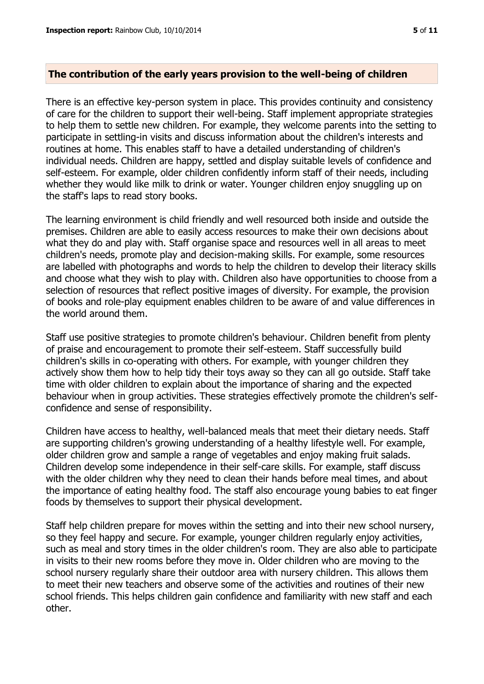## **The contribution of the early years provision to the well-being of children**

There is an effective key-person system in place. This provides continuity and consistency of care for the children to support their well-being. Staff implement appropriate strategies to help them to settle new children. For example, they welcome parents into the setting to participate in settling-in visits and discuss information about the children's interests and routines at home. This enables staff to have a detailed understanding of children's individual needs. Children are happy, settled and display suitable levels of confidence and self-esteem. For example, older children confidently inform staff of their needs, including whether they would like milk to drink or water. Younger children enjoy snuggling up on the staff's laps to read story books.

The learning environment is child friendly and well resourced both inside and outside the premises. Children are able to easily access resources to make their own decisions about what they do and play with. Staff organise space and resources well in all areas to meet children's needs, promote play and decision-making skills. For example, some resources are labelled with photographs and words to help the children to develop their literacy skills and choose what they wish to play with. Children also have opportunities to choose from a selection of resources that reflect positive images of diversity. For example, the provision of books and role-play equipment enables children to be aware of and value differences in the world around them.

Staff use positive strategies to promote children's behaviour. Children benefit from plenty of praise and encouragement to promote their self-esteem. Staff successfully build children's skills in co-operating with others. For example, with younger children they actively show them how to help tidy their toys away so they can all go outside. Staff take time with older children to explain about the importance of sharing and the expected behaviour when in group activities. These strategies effectively promote the children's selfconfidence and sense of responsibility.

Children have access to healthy, well-balanced meals that meet their dietary needs. Staff are supporting children's growing understanding of a healthy lifestyle well. For example, older children grow and sample a range of vegetables and enjoy making fruit salads. Children develop some independence in their self-care skills. For example, staff discuss with the older children why they need to clean their hands before meal times, and about the importance of eating healthy food. The staff also encourage young babies to eat finger foods by themselves to support their physical development.

Staff help children prepare for moves within the setting and into their new school nursery, so they feel happy and secure. For example, younger children regularly enjoy activities, such as meal and story times in the older children's room. They are also able to participate in visits to their new rooms before they move in. Older children who are moving to the school nursery regularly share their outdoor area with nursery children. This allows them to meet their new teachers and observe some of the activities and routines of their new school friends. This helps children gain confidence and familiarity with new staff and each other.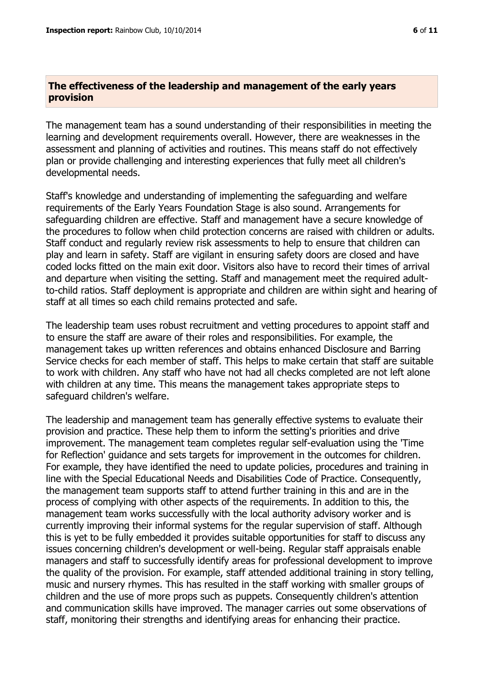#### **The effectiveness of the leadership and management of the early years provision**

The management team has a sound understanding of their responsibilities in meeting the learning and development requirements overall. However, there are weaknesses in the assessment and planning of activities and routines. This means staff do not effectively plan or provide challenging and interesting experiences that fully meet all children's developmental needs.

Staff's knowledge and understanding of implementing the safeguarding and welfare requirements of the Early Years Foundation Stage is also sound. Arrangements for safeguarding children are effective. Staff and management have a secure knowledge of the procedures to follow when child protection concerns are raised with children or adults. Staff conduct and regularly review risk assessments to help to ensure that children can play and learn in safety. Staff are vigilant in ensuring safety doors are closed and have coded locks fitted on the main exit door. Visitors also have to record their times of arrival and departure when visiting the setting. Staff and management meet the required adultto-child ratios. Staff deployment is appropriate and children are within sight and hearing of staff at all times so each child remains protected and safe.

The leadership team uses robust recruitment and vetting procedures to appoint staff and to ensure the staff are aware of their roles and responsibilities. For example, the management takes up written references and obtains enhanced Disclosure and Barring Service checks for each member of staff. This helps to make certain that staff are suitable to work with children. Any staff who have not had all checks completed are not left alone with children at any time. This means the management takes appropriate steps to safeguard children's welfare.

The leadership and management team has generally effective systems to evaluate their provision and practice. These help them to inform the setting's priorities and drive improvement. The management team completes regular self-evaluation using the 'Time for Reflection' guidance and sets targets for improvement in the outcomes for children. For example, they have identified the need to update policies, procedures and training in line with the Special Educational Needs and Disabilities Code of Practice. Consequently, the management team supports staff to attend further training in this and are in the process of complying with other aspects of the requirements. In addition to this, the management team works successfully with the local authority advisory worker and is currently improving their informal systems for the regular supervision of staff. Although this is yet to be fully embedded it provides suitable opportunities for staff to discuss any issues concerning children's development or well-being. Regular staff appraisals enable managers and staff to successfully identify areas for professional development to improve the quality of the provision. For example, staff attended additional training in story telling, music and nursery rhymes. This has resulted in the staff working with smaller groups of children and the use of more props such as puppets. Consequently children's attention and communication skills have improved. The manager carries out some observations of staff, monitoring their strengths and identifying areas for enhancing their practice.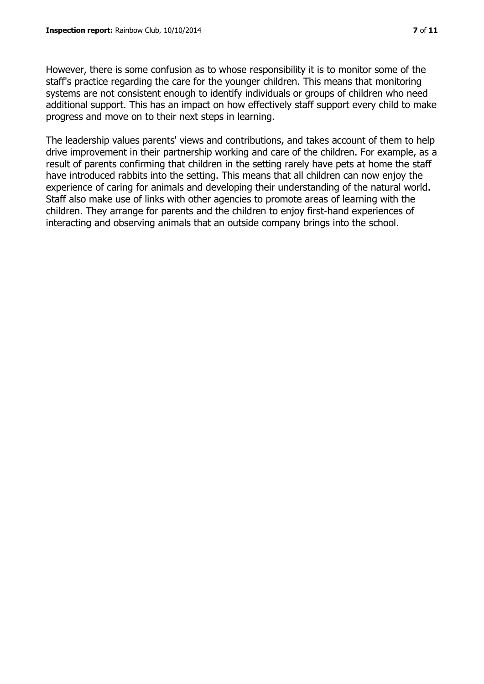However, there is some confusion as to whose responsibility it is to monitor some of the staff's practice regarding the care for the younger children. This means that monitoring systems are not consistent enough to identify individuals or groups of children who need additional support. This has an impact on how effectively staff support every child to make progress and move on to their next steps in learning.

The leadership values parents' views and contributions, and takes account of them to help drive improvement in their partnership working and care of the children. For example, as a result of parents confirming that children in the setting rarely have pets at home the staff have introduced rabbits into the setting. This means that all children can now enjoy the experience of caring for animals and developing their understanding of the natural world. Staff also make use of links with other agencies to promote areas of learning with the children. They arrange for parents and the children to enjoy first-hand experiences of interacting and observing animals that an outside company brings into the school.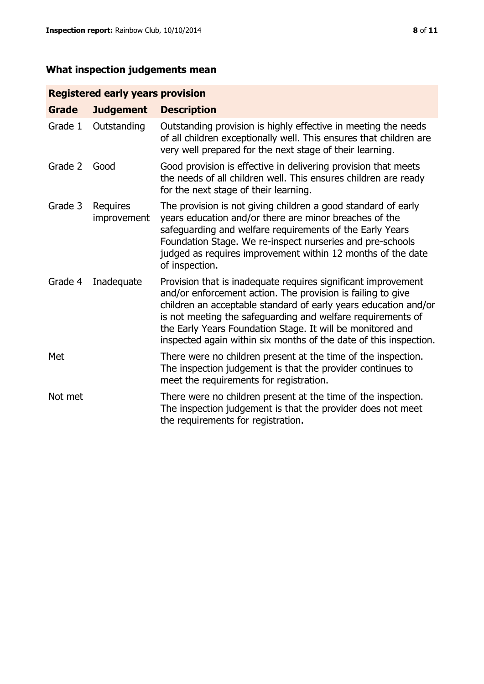# **What inspection judgements mean**

# **Registered early years provision**

| Grade   | <b>Judgement</b>               | <b>Description</b>                                                                                                                                                                                                                                                                                                                                                                                |
|---------|--------------------------------|---------------------------------------------------------------------------------------------------------------------------------------------------------------------------------------------------------------------------------------------------------------------------------------------------------------------------------------------------------------------------------------------------|
| Grade 1 | Outstanding                    | Outstanding provision is highly effective in meeting the needs<br>of all children exceptionally well. This ensures that children are<br>very well prepared for the next stage of their learning.                                                                                                                                                                                                  |
| Grade 2 | Good                           | Good provision is effective in delivering provision that meets<br>the needs of all children well. This ensures children are ready<br>for the next stage of their learning.                                                                                                                                                                                                                        |
| Grade 3 | <b>Requires</b><br>improvement | The provision is not giving children a good standard of early<br>years education and/or there are minor breaches of the<br>safeguarding and welfare requirements of the Early Years<br>Foundation Stage. We re-inspect nurseries and pre-schools<br>judged as requires improvement within 12 months of the date<br>of inspection.                                                                 |
| Grade 4 | Inadequate                     | Provision that is inadequate requires significant improvement<br>and/or enforcement action. The provision is failing to give<br>children an acceptable standard of early years education and/or<br>is not meeting the safeguarding and welfare requirements of<br>the Early Years Foundation Stage. It will be monitored and<br>inspected again within six months of the date of this inspection. |
| Met     |                                | There were no children present at the time of the inspection.<br>The inspection judgement is that the provider continues to<br>meet the requirements for registration.                                                                                                                                                                                                                            |
| Not met |                                | There were no children present at the time of the inspection.<br>The inspection judgement is that the provider does not meet<br>the requirements for registration.                                                                                                                                                                                                                                |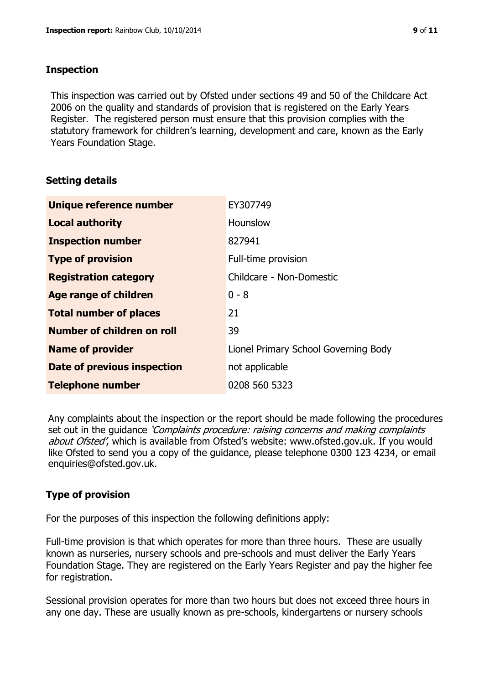## **Inspection**

This inspection was carried out by Ofsted under sections 49 and 50 of the Childcare Act 2006 on the quality and standards of provision that is registered on the Early Years Register. The registered person must ensure that this provision complies with the statutory framework for children's learning, development and care, known as the Early Years Foundation Stage.

# **Setting details**

| Unique reference number       | EY307749                             |
|-------------------------------|--------------------------------------|
| <b>Local authority</b>        | <b>Hounslow</b>                      |
| <b>Inspection number</b>      | 827941                               |
| <b>Type of provision</b>      | Full-time provision                  |
| <b>Registration category</b>  | Childcare - Non-Domestic             |
| Age range of children         | $0 - 8$                              |
| <b>Total number of places</b> | 21                                   |
| Number of children on roll    | 39                                   |
| <b>Name of provider</b>       | Lionel Primary School Governing Body |
| Date of previous inspection   | not applicable                       |
| <b>Telephone number</b>       | 0208 560 5323                        |

Any complaints about the inspection or the report should be made following the procedures set out in the guidance *'Complaints procedure: raising concerns and making complaints* about Ofsted', which is available from Ofsted's website: www.ofsted.gov.uk. If you would like Ofsted to send you a copy of the guidance, please telephone 0300 123 4234, or email enquiries@ofsted.gov.uk.

# **Type of provision**

For the purposes of this inspection the following definitions apply:

Full-time provision is that which operates for more than three hours. These are usually known as nurseries, nursery schools and pre-schools and must deliver the Early Years Foundation Stage. They are registered on the Early Years Register and pay the higher fee for registration.

Sessional provision operates for more than two hours but does not exceed three hours in any one day. These are usually known as pre-schools, kindergartens or nursery schools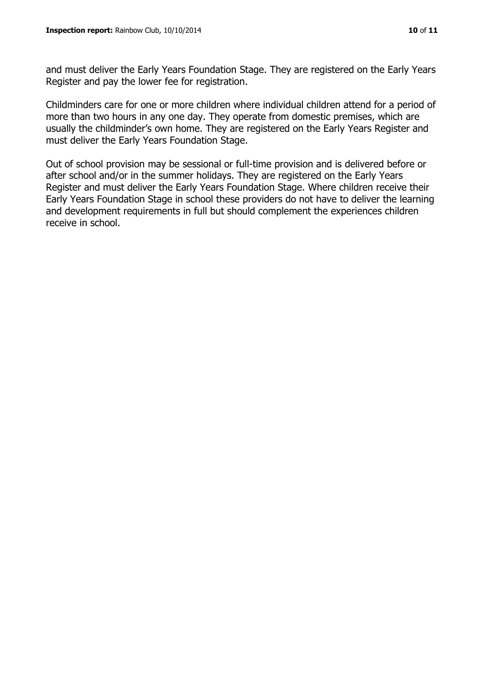and must deliver the Early Years Foundation Stage. They are registered on the Early Years Register and pay the lower fee for registration.

Childminders care for one or more children where individual children attend for a period of more than two hours in any one day. They operate from domestic premises, which are usually the childminder's own home. They are registered on the Early Years Register and must deliver the Early Years Foundation Stage.

Out of school provision may be sessional or full-time provision and is delivered before or after school and/or in the summer holidays. They are registered on the Early Years Register and must deliver the Early Years Foundation Stage. Where children receive their Early Years Foundation Stage in school these providers do not have to deliver the learning and development requirements in full but should complement the experiences children receive in school.